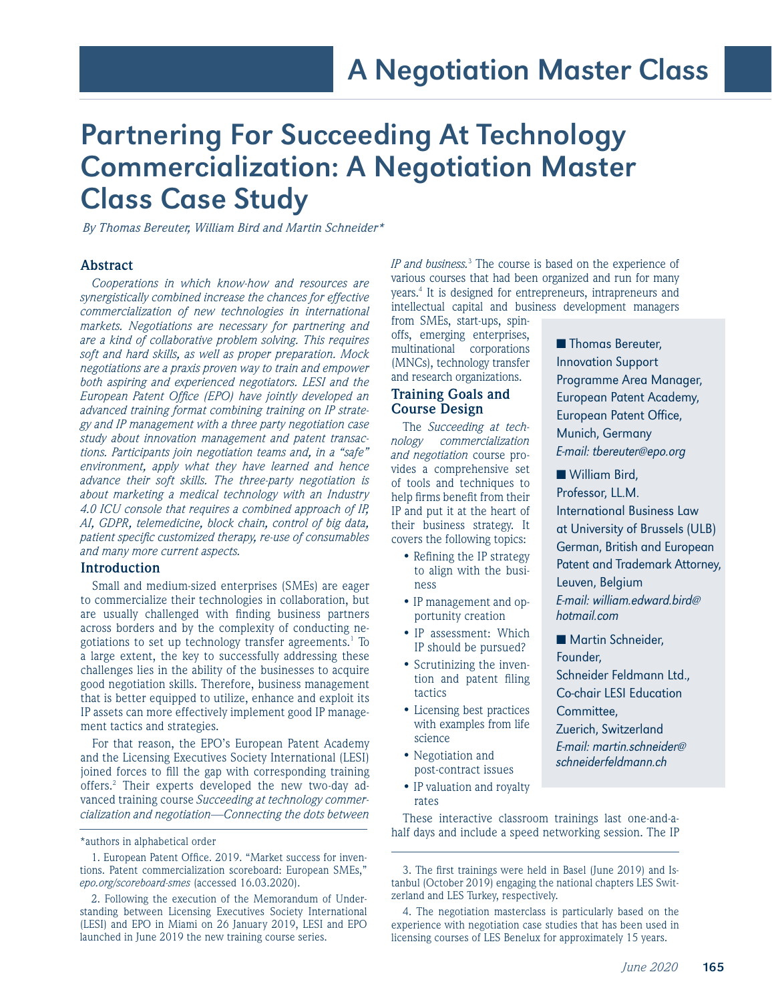# Partnering For Succeeding At Technology Commercialization: A Negotiation Master Class Case Study

*By Thomas Bereuter, William Bird and Martin Schneider\**

# **Abstract**

*Cooperations in which know-how and resources are synergistically combined increase the chances for effective commercialization of new technologies in international markets. Negotiations are necessary for partnering and are a kind of collaborative problem solving. This requires soft and hard skills, as well as proper preparation. Mock negotiations are a praxis proven way to train and empower both aspiring and experienced negotiators. LESI and the European Patent Office (EPO) have jointly developed an advanced training format combining training on IP strategy and IP management with a three party negotiation case study about innovation management and patent transactions. Participants join negotiation teams and, in a "safe" environment, apply what they have learned and hence advance their soft skills. The three-party negotiation is about marketing a medical technology with an Industry 4.0 ICU console that requires a combined approach of IP, AI, GDPR, telemedicine, block chain, control of big data, patient specific customized therapy, re-use of consumables and many more current aspects.*

#### **Introduction**

Small and medium-sized enterprises (SMEs) are eager to commercialize their technologies in collaboration, but are usually challenged with finding business partners across borders and by the complexity of conducting negotiations to set up technology transfer agreements.<sup>1</sup> To a large extent, the key to successfully addressing these challenges lies in the ability of the businesses to acquire good negotiation skills. Therefore, business management that is better equipped to utilize, enhance and exploit its IP assets can more effectively implement good IP management tactics and strategies.

For that reason, the EPO's European Patent Academy and the Licensing Executives Society International (LESI) joined forces to fill the gap with corresponding training offers.<sup>2</sup> Their experts developed the new two-day advanced training course *Succeeding at technology commercialization and negotiation—Connecting the dots between* 

*IP and business.*<sup>3</sup> The course is based on the experience of various courses that had been organized and run for many years.4 It is designed for entrepreneurs, intrapreneurs and intellectual capital and business development managers

from SMEs, start-ups, spinoffs, emerging enterprises, multinational corporations (MNCs), technology transfer and research organizations.

# **Training Goals and Course Design**

The *Succeeding at technology commercialization and negotiation* course provides a comprehensive set of tools and techniques to help firms benefit from their IP and put it at the heart of their business strategy. It covers the following topics:

- Refining the IP strategy to align with the business
- IP management and opportunity creation
- IP assessment: Which IP should be pursued?
- Scrutinizing the invention and patent filing tactics
- Licensing best practices with examples from life science
- Negotiation and post-contract issues
- IP valuation and royalty rates

These interactive classroom trainings last one-and-ahalf days and include a speed networking session. The IP

Innovation Support Programme Area Manager, European Patent Academy, European Patent Office, Munich, Germany E-mail: tbereuter@epo.org

■ Thomas Bereuter,

■ William Bird, Professor, LL.M. International Business Law at University of Brussels (ULB) German, British and European Patent and Trademark Attorney, Leuven, Belgium E-mail: william.edward.bird@ hotmail.com

■ Martin Schneider, Founder, Schneider Feldmann Ltd., Co-chair LESI Education Committee, Zuerich, Switzerland E-mail: martin.schneider@ schneiderfeldmann.ch

<sup>\*</sup>authors in alphabetical order

<sup>1.</sup> European Patent Office. 2019. "Market success for inventions. Patent commercialization scoreboard: European SMEs," *epo.org/scoreboard-smes* (accessed 16.03.2020).

<sup>2.</sup> Following the execution of the Memorandum of Understanding between Licensing Executives Society International (LESI) and EPO in Miami on 26 January 2019, LESI and EPO launched in June 2019 the new training course series.

<sup>3.</sup> The first trainings were held in Basel (June 2019) and Istanbul (October 2019) engaging the national chapters LES Switzerland and LES Turkey, respectively.

<sup>4.</sup> The negotiation masterclass is particularly based on the experience with negotiation case studies that has been used in licensing courses of LES Benelux for approximately 15 years.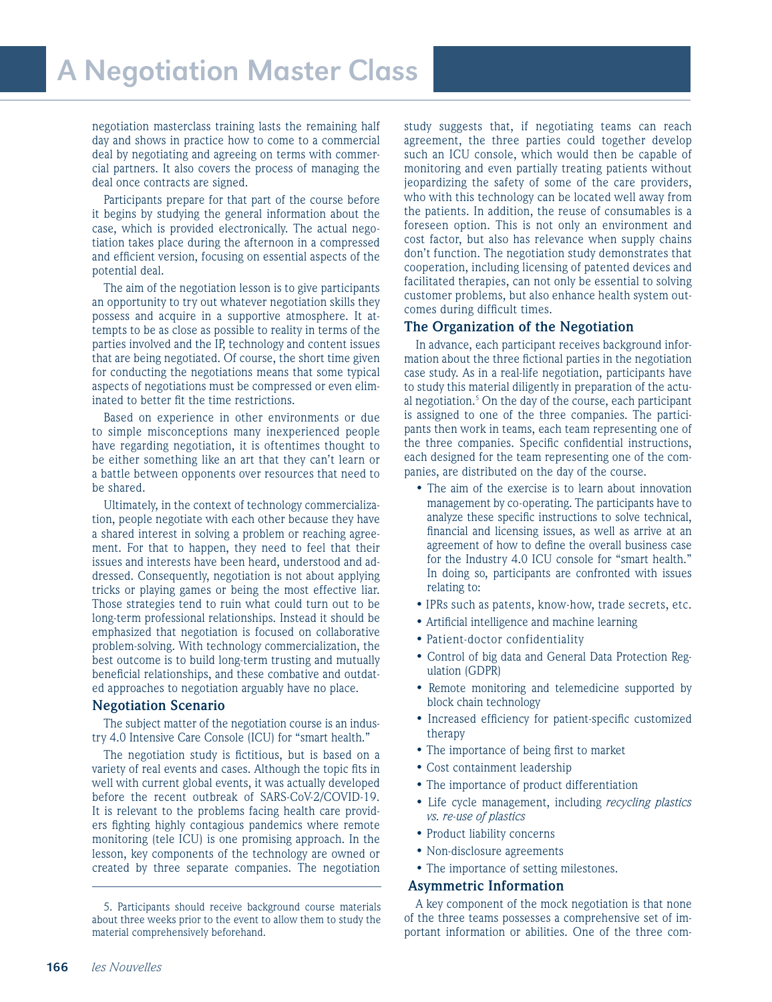# A Negotiation Master Class

negotiation masterclass training lasts the remaining half day and shows in practice how to come to a commercial deal by negotiating and agreeing on terms with commercial partners. It also covers the process of managing the deal once contracts are signed.

Participants prepare for that part of the course before it begins by studying the general information about the case, which is provided electronically. The actual negotiation takes place during the afternoon in a compressed and efficient version, focusing on essential aspects of the potential deal.

The aim of the negotiation lesson is to give participants an opportunity to try out whatever negotiation skills they possess and acquire in a supportive atmosphere. It attempts to be as close as possible to reality in terms of the parties involved and the IP, technology and content issues that are being negotiated. Of course, the short time given for conducting the negotiations means that some typical aspects of negotiations must be compressed or even eliminated to better fit the time restrictions.

Based on experience in other environments or due to simple misconceptions many inexperienced people have regarding negotiation, it is oftentimes thought to be either something like an art that they can't learn or a battle between opponents over resources that need to be shared.

Ultimately, in the context of technology commercialization, people negotiate with each other because they have a shared interest in solving a problem or reaching agreement. For that to happen, they need to feel that their issues and interests have been heard, understood and addressed. Consequently, negotiation is not about applying tricks or playing games or being the most effective liar. Those strategies tend to ruin what could turn out to be long-term professional relationships. Instead it should be emphasized that negotiation is focused on collaborative problem-solving. With technology commercialization, the best outcome is to build long-term trusting and mutually beneficial relationships, and these combative and outdated approaches to negotiation arguably have no place.

#### **Negotiation Scenario**

The subject matter of the negotiation course is an industry 4.0 Intensive Care Console (ICU) for "smart health."

The negotiation study is fictitious, but is based on a variety of real events and cases. Although the topic fits in well with current global events, it was actually developed before the recent outbreak of SARS-CoV-2/COVID-19. It is relevant to the problems facing health care providers fighting highly contagious pandemics where remote monitoring (tele ICU) is one promising approach. In the lesson, key components of the technology are owned or created by three separate companies. The negotiation study suggests that, if negotiating teams can reach agreement, the three parties could together develop such an ICU console, which would then be capable of monitoring and even partially treating patients without jeopardizing the safety of some of the care providers, who with this technology can be located well away from the patients. In addition, the reuse of consumables is a foreseen option. This is not only an environment and cost factor, but also has relevance when supply chains don't function. The negotiation study demonstrates that cooperation, including licensing of patented devices and facilitated therapies, can not only be essential to solving customer problems, but also enhance health system outcomes during difficult times.

#### **The Organization of the Negotiation**

In advance, each participant receives background information about the three fictional parties in the negotiation case study. As in a real-life negotiation, participants have to study this material diligently in preparation of the actual negotiation.<sup>5</sup> On the day of the course, each participant is assigned to one of the three companies. The participants then work in teams, each team representing one of the three companies. Specific confidential instructions, each designed for the team representing one of the companies, are distributed on the day of the course.

- The aim of the exercise is to learn about innovation management by co-operating. The participants have to analyze these specific instructions to solve technical, financial and licensing issues, as well as arrive at an agreement of how to define the overall business case for the Industry 4.0 ICU console for "smart health." In doing so, participants are confronted with issues relating to:
- IPRs such as patents, know-how, trade secrets, etc.
- Artificial intelligence and machine learning
- Patient-doctor confidentiality
- Control of big data and General Data Protection Regulation (GDPR)
- Remote monitoring and telemedicine supported by block chain technology
- Increased efficiency for patient-specific customized therapy
- The importance of being first to market
- Cost containment leadership
- The importance of product differentiation
- Life cycle management, including *recycling plastics vs. re-use of plastics*
- Product liability concerns
- Non-disclosure agreements
- The importance of setting milestones.

### **Asymmetric Information**

A key component of the mock negotiation is that none of the three teams possesses a comprehensive set of important information or abilities. One of the three com-

<sup>5.</sup> Participants should receive background course materials about three weeks prior to the event to allow them to study the material comprehensively beforehand.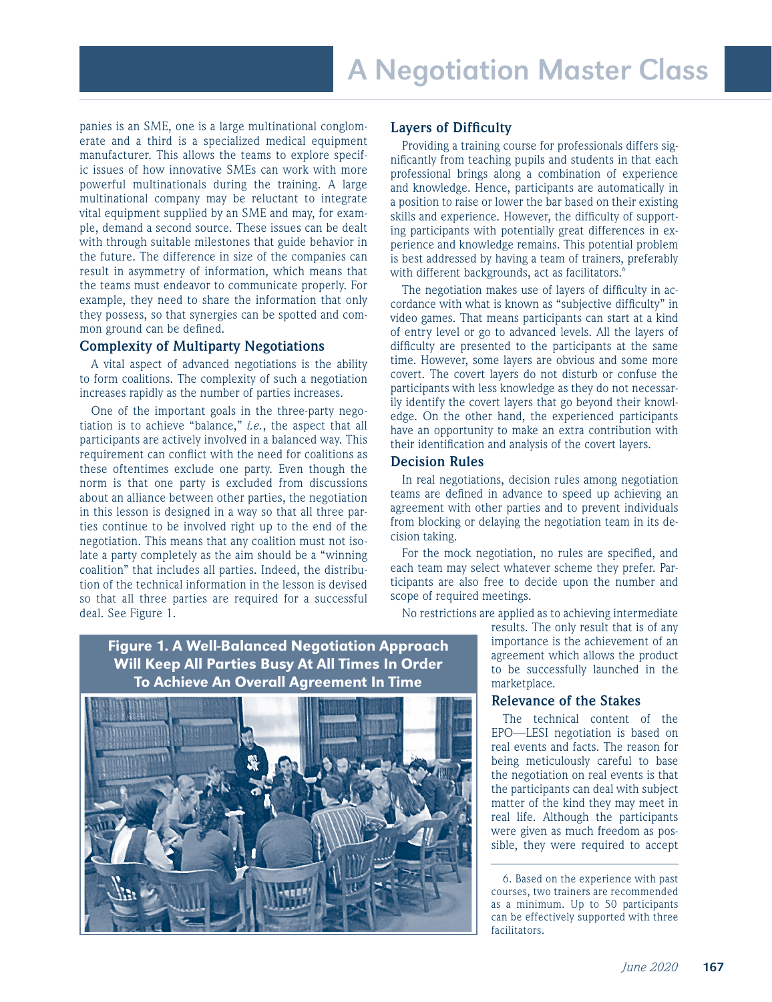panies is an SME, one is a large multinational conglomerate and a third is a specialized medical equipment manufacturer. This allows the teams to explore specific issues of how innovative SMEs can work with more powerful multinationals during the training. A large multinational company may be reluctant to integrate vital equipment supplied by an SME and may, for example, demand a second source. These issues can be dealt with through suitable milestones that guide behavior in the future. The difference in size of the companies can result in asymmetry of information, which means that the teams must endeavor to communicate properly. For example, they need to share the information that only they possess, so that synergies can be spotted and common ground can be defined.

#### **Complexity of Multiparty Negotiations**

A vital aspect of advanced negotiations is the ability to form coalitions. The complexity of such a negotiation increases rapidly as the number of parties increases.

One of the important goals in the three-party negotiation is to achieve "balance," *i.e.*, the aspect that all participants are actively involved in a balanced way. This requirement can conflict with the need for coalitions as these oftentimes exclude one party. Even though the norm is that one party is excluded from discussions about an alliance between other parties, the negotiation in this lesson is designed in a way so that all three parties continue to be involved right up to the end of the negotiation. This means that any coalition must not isolate a party completely as the aim should be a "winning coalition" that includes all parties. Indeed, the distribution of the technical information in the lesson is devised so that all three parties are required for a successful deal. See Figure 1.

# **Layers of Difficulty**

Providing a training course for professionals differs significantly from teaching pupils and students in that each professional brings along a combination of experience and knowledge. Hence, participants are automatically in a position to raise or lower the bar based on their existing skills and experience. However, the difficulty of supporting participants with potentially great differences in experience and knowledge remains. This potential problem is best addressed by having a team of trainers, preferably with different backgrounds, act as facilitators.<sup>6</sup>

The negotiation makes use of layers of difficulty in accordance with what is known as "subjective difficulty" in video games. That means participants can start at a kind of entry level or go to advanced levels. All the layers of difficulty are presented to the participants at the same time. However, some layers are obvious and some more covert. The covert layers do not disturb or confuse the participants with less knowledge as they do not necessarily identify the covert layers that go beyond their knowledge. On the other hand, the experienced participants have an opportunity to make an extra contribution with their identification and analysis of the covert layers.

# **Decision Rules**

In real negotiations, decision rules among negotiation teams are defined in advance to speed up achieving an agreement with other parties and to prevent individuals from blocking or delaying the negotiation team in its decision taking.

For the mock negotiation, no rules are specified, and each team may select whatever scheme they prefer. Participants are also free to decide upon the number and scope of required meetings.

No restrictions are applied as to achieving intermediate

results. The only result that is of any importance is the achievement of an agreement which allows the product to be successfully launched in the marketplace.

### **Relevance of the Stakes**

The technical content of the EPO—LESI negotiation is based on real events and facts. The reason for being meticulously careful to base the negotiation on real events is that the participants can deal with subject matter of the kind they may meet in real life. Although the participants were given as much freedom as possible, they were required to accept

6. Based on the experience with past courses, two trainers are recommended as a minimum. Up to 50 participants can be effectively supported with three facilitators.

Figure 1. A Well-Balanced Negotiation Approach Will Keep All Parties Busy At All Times In Order To Achieve An Overall Agreement In Time